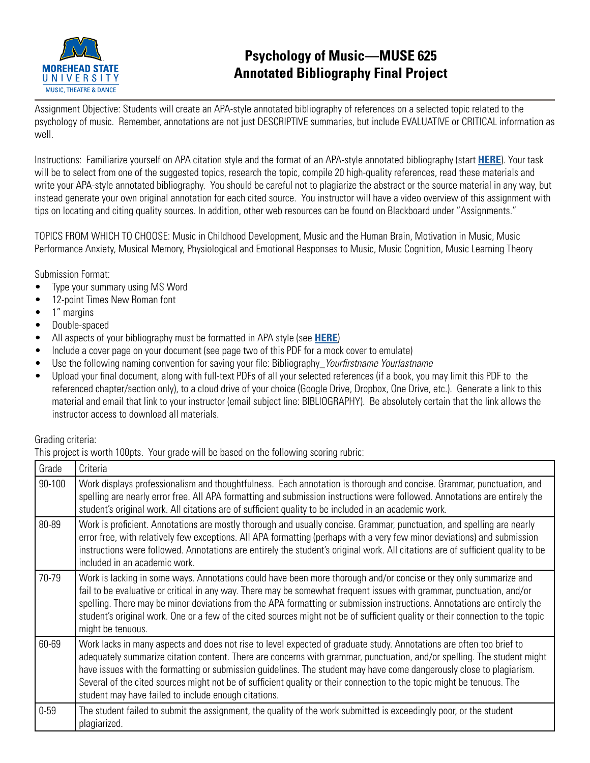

## **Psychology of Music—MUSE 625 Annotated Bibliography Final Project**

Assignment Objective: Students will create an APA-style annotated bibliography of references on a selected topic related to the psychology of music. Remember, annotations are not just DESCRIPTIVE summaries, but include EVALUATIVE or CRITICAL information as well.

Instructions: Familiarize yourself on APA citation style and the format of an APA-style annotated bibliography (start **[HERE](https://owl.purdue.edu/owl/general_writing/common_writing_assignments/annotated_bibliographies/annotated_bibliography_samples.html)**). Your task will be to select from one of the suggested topics, research the topic, compile 20 high-quality references, read these materials and write your APA-style annotated bibliography. You should be careful not to plagiarize the abstract or the source material in any way, but instead generate your own original annotation for each cited source. You instructor will have a video overview of this assignment with tips on locating and citing quality sources. In addition, other web resources can be found on Blackboard under "Assignments."

TOPICS FROM WHICH TO CHOOSE: Music in Childhood Development, Music and the Human Brain, Motivation in Music, Music Performance Anxiety, Musical Memory, Physiological and Emotional Responses to Music, Music Cognition, Music Learning Theory

Submission Format:

- Type your summary using MS Word
- 12-point Times New Roman font
- 1" margins
- Double-spaced
- All aspects of your bibliography must be formatted in APA style (see **[HERE](https://owl.purdue.edu/owl/research_and_citation/apa_style/apa_style_introduction.html)**)
- Include a cover page on your document (see page two of this PDF for a mock cover to emulate)
- Use the following naming convention for saving your file: Bibliography\_*Yourfirstname Yourlastname*
- Upload your final document, along with full-text PDFs of all your selected references (if a book, you may limit this PDF to the referenced chapter/section only), to a cloud drive of your choice (Google Drive, Dropbox, One Drive, etc.). Generate a link to this material and email that link to your instructor (email subject line: BIBLIOGRAPHY). Be absolutely certain that the link allows the instructor access to download all materials.

Grading criteria:

This project is worth 100pts. Your grade will be based on the following scoring rubric:

| Grade    | Criteria                                                                                                                                                                                                                                                                                                                                                                                                                                                                                                                                                  |
|----------|-----------------------------------------------------------------------------------------------------------------------------------------------------------------------------------------------------------------------------------------------------------------------------------------------------------------------------------------------------------------------------------------------------------------------------------------------------------------------------------------------------------------------------------------------------------|
| 90-100   | Work displays professionalism and thoughtfulness. Each annotation is thorough and concise. Grammar, punctuation, and<br>spelling are nearly error free. All APA formatting and submission instructions were followed. Annotations are entirely the<br>student's original work. All citations are of sufficient quality to be included in an academic work.                                                                                                                                                                                                |
| 80-89    | Work is proficient. Annotations are mostly thorough and usually concise. Grammar, punctuation, and spelling are nearly<br>error free, with relatively few exceptions. All APA formatting (perhaps with a very few minor deviations) and submission<br>instructions were followed. Annotations are entirely the student's original work. All citations are of sufficient quality to be<br>included in an academic work.                                                                                                                                    |
| 70-79    | Work is lacking in some ways. Annotations could have been more thorough and/or concise or they only summarize and<br>fail to be evaluative or critical in any way. There may be somewhat frequent issues with grammar, punctuation, and/or<br>spelling. There may be minor deviations from the APA formatting or submission instructions. Annotations are entirely the<br>student's original work. One or a few of the cited sources might not be of sufficient quality or their connection to the topic<br>might be tenuous.                             |
| 60-69    | Work lacks in many aspects and does not rise to level expected of graduate study. Annotations are often too brief to<br>adequately summarize citation content. There are concerns with grammar, punctuation, and/or spelling. The student might<br>have issues with the formatting or submission guidelines. The student may have come dangerously close to plagiarism.<br>Several of the cited sources might not be of sufficient quality or their connection to the topic might be tenuous. The<br>student may have failed to include enough citations. |
| $0 - 59$ | The student failed to submit the assignment, the quality of the work submitted is exceedingly poor, or the student<br>plagiarized.                                                                                                                                                                                                                                                                                                                                                                                                                        |